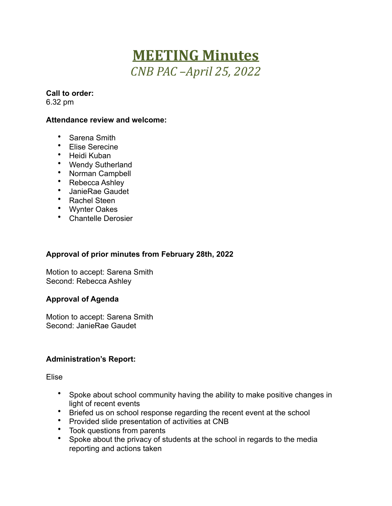# **MEETING Minutes** *CNB PAC –April 25, 2022*

# **Call to order:**

6.32 pm

#### **Attendance review and welcome:**

- Sarena Smith
- Elise Serecine
- Heidi Kuban
- Wendy Sutherland
- Norman Campbell
- Rebecca Ashley
- JanieRae Gaudet
- Rachel Steen
- Wynter Oakes
- Chantelle Derosier

#### **Approval of prior minutes from February 28th, 2022**

Motion to accept: Sarena Smith Second: Rebecca Ashley

#### **Approval of Agenda**

Motion to accept: Sarena Smith Second: JanieRae Gaudet

#### **Administration's Report:**

Elise

- Spoke about school community having the ability to make positive changes in light of recent events
- Briefed us on school response regarding the recent event at the school
- Provided slide presentation of activities at CNB
- Took questions from parents
- Spoke about the privacy of students at the school in regards to the media reporting and actions taken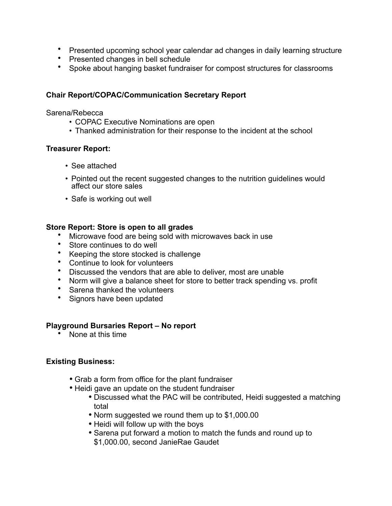- Presented upcoming school year calendar ad changes in daily learning structure
- Presented changes in bell schedule
- Spoke about hanging basket fundraiser for compost structures for classrooms

#### **Chair Report/COPAC/Communication Secretary Report**

Sarena/Rebecca

- COPAC Executive Nominations are open
- Thanked administration for their response to the incident at the school

#### **Treasurer Report:**

- See attached
- Pointed out the recent suggested changes to the nutrition guidelines would affect our store sales
- Safe is working out well

#### **Store Report: Store is open to all grades**

- Microwave food are being sold with microwaves back in use
- Store continues to do well
- Keeping the store stocked is challenge
- Continue to look for volunteers
- Discussed the vendors that are able to deliver, most are unable
- Norm will give a balance sheet for store to better track spending vs. profit
- Sarena thanked the volunteers
- Signors have been updated

#### **Playground Bursaries Report – No report**

• None at this time

# **Existing Business:**

- Grab a form from office for the plant fundraiser
- Heidi gave an update on the student fundraiser
	- Discussed what the PAC will be contributed, Heidi suggested a matching total
	- Norm suggested we round them up to \$1,000.00
	- Heidi will follow up with the boys
	- Sarena put forward a motion to match the funds and round up to \$1,000.00, second JanieRae Gaudet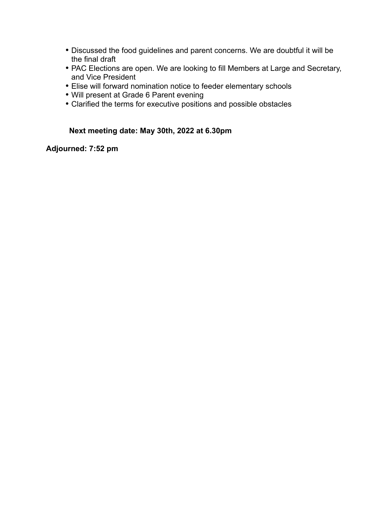- Discussed the food guidelines and parent concerns. We are doubtful it will be the final draft
- PAC Elections are open. We are looking to fill Members at Large and Secretary, and Vice President
- Elise will forward nomination notice to feeder elementary schools
- Will present at Grade 6 Parent evening
- Clarified the terms for executive positions and possible obstacles

### **Next meeting date: May 30th, 2022 at 6.30pm**

# **Adjourned: 7:52 pm**